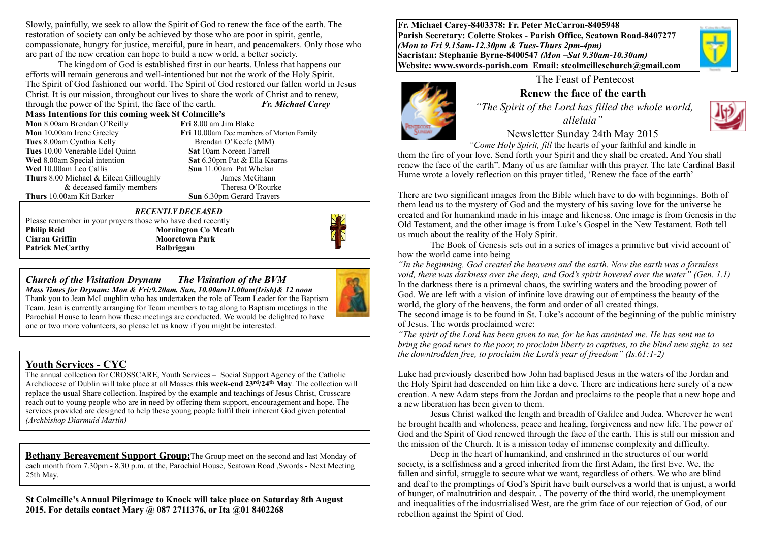Slowly, painfully, we seek to allow the Spirit of God to renew the face of the earth. The restoration of society can only be achieved by those who are poor in spirit, gentle, compassionate, hungry for justice, merciful, pure in heart, and peacemakers. Only those who are part of the new creation can hope to build a new world, a better society.

The kingdom of God is established first in our hearts. Unless that happens our efforts will remain generous and well-intentioned but not the work of the Holy Spirit. The Spirit of God fashioned our world. The Spirit of God restored our fallen world in Jesus Christ. It is our mission, throughout our lives to share the work of Christ and to renew, through the power of the Spirit, the face of the earth. *Fr. Michael Carey* 

**Mass Intentions for this coming week St Colmcille's**

| <b>EVERS'S ENTERIOUS TOT THIS COMMIZE WEEK</b> |
|------------------------------------------------|
| Mon 8.00am Brendan O'Reilly                    |
| Mon 10.00am Irene Greeley                      |
| Tues 8.00am Cynthia Kelly                      |
| Tues 10.00 Venerable Edel Quinn                |
| Wed 8.00am Special intention                   |
| Wed 10.00am Leo Callis                         |
| <b>Thurs</b> 8.00 Michael & Eileen Gilloughly  |
| & deceased family members                      |
| Thurs 10.00am Kit Barker                       |

**Fri** 8.00 am Jim Blake **Fri** 10.00am Dec members of Morton Family Brendan O'Keefe (MM) **Sat 10am Noreen Farrell Sat** 6.30pm Pat & Ella Kearns **Sun** 11.00am Pat Whelan **Iames McGhann** Theresa  $O'$ Rourke **Sun** 6.30pm Gerard Travers

#### *RECENTLY DECEASED*

Please remember in your prayers those who have died recently **Philip Reid Mornington Co Meath Ciaran Griffin** Mooretown Park **Patrick McCarthy Balbriggan** 

## *Church of the Visitation Drynam**The Visitation of the BVM*

*Mass Times for Drynam: Mon & Fri:9.20am. Sun, 10.00am11.00am(Irish)& 12 noon* Thank you to Jean McLoughlin who has undertaken the role of Team Leader for the Baptism Team. Jean is currently arranging for Team members to tag along to Baptism meetings in the Parochial House to learn how these meetings are conducted. We would be delighted to have one or two more volunteers, so please let us know if you might be interested.

## **Youth Services - CYC**

The annual collection for CROSSCARE, Youth Services – Social Support Agency of the Catholic Archdiocese of Dublin will take place at all Masses this week-end  $23<sup>rd</sup>/24<sup>th</sup>$  May. The collection will replace the usual Share collection. Inspired by the example and teachings of Jesus Christ, Crosscare reach out to young people who are in need by offering them support, encouragement and hope. The services provided are designed to help these young people fulfil their inherent God given potential *(Archbishop Diarmuid Martin)*

**Bethany Bereavement Support Group:**The Group meet on the second and last Monday of each month from 7.30pm - 8.30 p.m. at the, Parochial House, Seatown Road ,Swords - Next Meeting 25th May.

**St Colmcille's Annual Pilgrimage to Knock will take place on Saturday 8th August 2015. For details contact Mary @ 087 2711376, or Ita @01 8402268** 

**Fr. Michael Carey-8403378: Fr. Peter McCarron-8405948 Parish Secretary: Colette Stokes - Parish Office, Seatown Road-8407277**  *(Mon to Fri 9.15am-12.30pm & Tues-Thurs 2pm-4pm)*  **Sacristan: Stephanie Byrne-8400547** *(Mon –Sat 9.30am-10.30am)* **Website: [www.swords-parish.com Email](http://www.swords-parish.com%20%20email): stcolmcilleschurch@gmail.com**



### The Feast of Pentecost

**Renew the face of the earth**   *"The Spirit of the Lord has filled the whole world, alleluia"* 



Newsletter Sunday 24th May 2015

 *"Come Holy Spirit, fill* the hearts of your faithful and kindle in them the fire of your love. Send forth your Spirit and they shall be created. And You shall renew the face of the earth". Many of us are familiar with this prayer. The late Cardinal Basil Hume wrote a lovely reflection on this prayer titled, 'Renew the face of the earth'

There are two significant images from the Bible which have to do with beginnings. Both of them lead us to the mystery of God and the mystery of his saving love for the universe he created and for humankind made in his image and likeness. One image is from Genesis in the Old Testament, and the other image is from Luke's Gospel in the New Testament. Both tell us much about the reality of the Holy Spirit.

The Book of Genesis sets out in a series of images a primitive but vivid account of how the world came into being

*"In the beginning, God created the heavens and the earth. Now the earth was a formless void, there was darkness over the deep, and God's spirit hovered over the water" (Gen. 1.1)*  In the darkness there is a primeval chaos, the swirling waters and the brooding power of God. We are left with a vision of infinite love drawing out of emptiness the beauty of the world, the glory of the heavens, the form and order of all created things.

The second image is to be found in St. Luke's account of the beginning of the public ministry of Jesus. The words proclaimed were:

*"The spirit of the Lord has been given to me, for he has anointed me. He has sent me to bring the good news to the poor, to proclaim liberty to captives, to the blind new sight, to set the downtrodden free, to proclaim the Lord's year of freedom" (Is.61:1-2)* 

Luke had previously described how John had baptised Jesus in the waters of the Jordan and the Holy Spirit had descended on him like a dove. There are indications here surely of a new creation. A new Adam steps from the Jordan and proclaims to the people that a new hope and a new liberation has been given to them.

Jesus Christ walked the length and breadth of Galilee and Judea. Wherever he went he brought health and wholeness, peace and healing, forgiveness and new life. The power of God and the Spirit of God renewed through the face of the earth. This is still our mission and the mission of the Church. It is a mission today of immense complexity and difficulty.

Deep in the heart of humankind, and enshrined in the structures of our world society, is a selfishness and a greed inherited from the first Adam, the first Eve. We, the fallen and sinful, struggle to secure what we want, regardless of others. We who are blind and deaf to the promptings of God's Spirit have built ourselves a world that is unjust, a world of hunger, of malnutrition and despair. . The poverty of the third world, the unemployment and inequalities of the industrialised West, are the grim face of our rejection of God, of our rebellion against the Spirit of God.